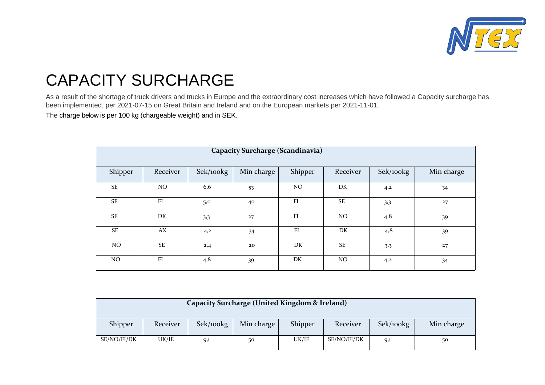

## CAPACITY SURCHARGE

As a result of the shortage of truck drivers and trucks in Europe and the extraordinary cost increases which have followed a Capacity surcharge has been implemented, per 2021-07-15 on Great Britain and Ireland and on the European markets per 2021-11-01.

The charge below is per 100 kg (chargeable weight) and in SEK.

| <b>Capacity Surcharge (Scandinavia)</b> |           |           |            |         |           |           |            |  |  |
|-----------------------------------------|-----------|-----------|------------|---------|-----------|-----------|------------|--|--|
| Shipper                                 | Receiver  | Sek/100kg | Min charge | Shipper | Receiver  | Sek/100kg | Min charge |  |  |
| <b>SE</b>                               | NO.       | 6,6       | 53         | NO.     | DK        | 4,2       | 34         |  |  |
| <b>SE</b>                               | FI        | 5,0       | 40         | FI      | <b>SE</b> | 3,3       | 27         |  |  |
| <b>SE</b>                               | DK        | 3,3       | 27         | FI      | NO.       | 4,8       | 39         |  |  |
| SE                                      | AX        | 4,2       | 34         | FI      | DK        | 4,8       | 39         |  |  |
| NO.                                     | <b>SE</b> | 2,4       | 20         | DK      | <b>SE</b> | 3,3       | 27         |  |  |
| NO                                      | FI        | 4,8       | 39         | DK      | NO.       | 4,2       | 34         |  |  |

| Capacity Surcharge (United Kingdom & Ireland)                          |          |           |            |         |          |           |            |  |  |  |
|------------------------------------------------------------------------|----------|-----------|------------|---------|----------|-----------|------------|--|--|--|
| Shipper                                                                | Receiver | Sek/100kg | Min charge | Shipper | Receiver | Sek/100kg | Min charge |  |  |  |
| SE/NO/FI/DK<br>UK/IE<br>UK/IE<br>SE/NO/FI/DK<br>50<br>50<br>9,1<br>9,1 |          |           |            |         |          |           |            |  |  |  |